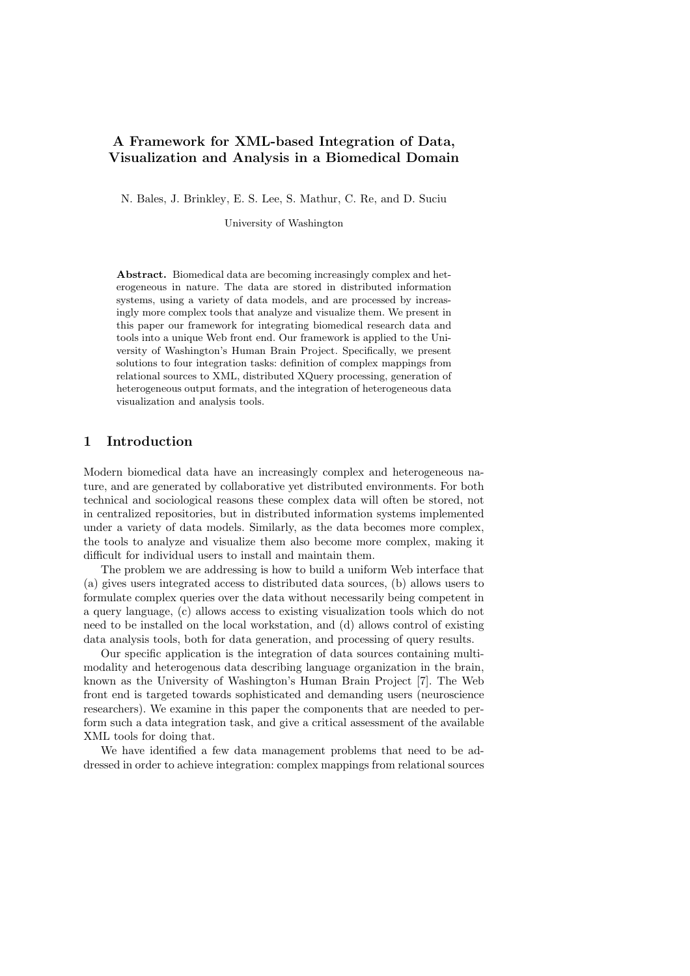# A Framework for XML-based Integration of Data, Visualization and Analysis in a Biomedical Domain

N. Bales, J. Brinkley, E. S. Lee, S. Mathur, C. Re, and D. Suciu

University of Washington

Abstract. Biomedical data are becoming increasingly complex and heterogeneous in nature. The data are stored in distributed information systems, using a variety of data models, and are processed by increasingly more complex tools that analyze and visualize them. We present in this paper our framework for integrating biomedical research data and tools into a unique Web front end. Our framework is applied to the University of Washington's Human Brain Project. Specifically, we present solutions to four integration tasks: definition of complex mappings from relational sources to XML, distributed XQuery processing, generation of heterogeneous output formats, and the integration of heterogeneous data visualization and analysis tools.

# 1 Introduction

Modern biomedical data have an increasingly complex and heterogeneous nature, and are generated by collaborative yet distributed environments. For both technical and sociological reasons these complex data will often be stored, not in centralized repositories, but in distributed information systems implemented under a variety of data models. Similarly, as the data becomes more complex, the tools to analyze and visualize them also become more complex, making it difficult for individual users to install and maintain them.

The problem we are addressing is how to build a uniform Web interface that (a) gives users integrated access to distributed data sources, (b) allows users to formulate complex queries over the data without necessarily being competent in a query language, (c) allows access to existing visualization tools which do not need to be installed on the local workstation, and (d) allows control of existing data analysis tools, both for data generation, and processing of query results.

Our specific application is the integration of data sources containing multimodality and heterogenous data describing language organization in the brain, known as the University of Washington's Human Brain Project [7]. The Web front end is targeted towards sophisticated and demanding users (neuroscience researchers). We examine in this paper the components that are needed to perform such a data integration task, and give a critical assessment of the available XML tools for doing that.

We have identified a few data management problems that need to be addressed in order to achieve integration: complex mappings from relational sources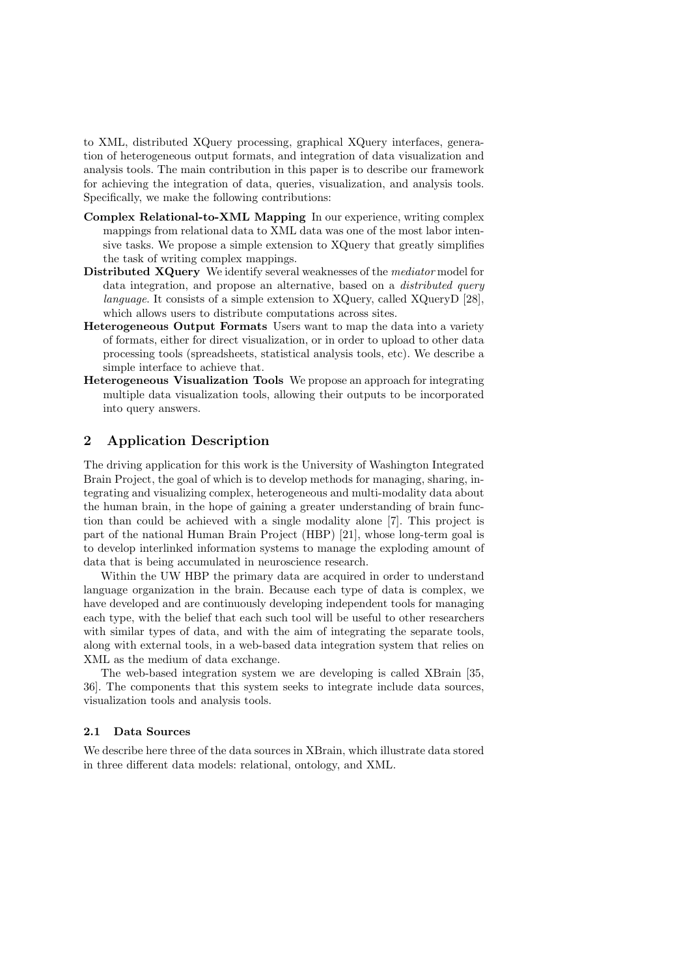to XML, distributed XQuery processing, graphical XQuery interfaces, generation of heterogeneous output formats, and integration of data visualization and analysis tools. The main contribution in this paper is to describe our framework for achieving the integration of data, queries, visualization, and analysis tools. Specifically, we make the following contributions:

- Complex Relational-to-XML Mapping In our experience, writing complex mappings from relational data to XML data was one of the most labor intensive tasks. We propose a simple extension to XQuery that greatly simplifies the task of writing complex mappings.
- Distributed XQuery We identify several weaknesses of the mediator model for data integration, and propose an alternative, based on a *distributed query* language. It consists of a simple extension to XQuery, called XQueryD [28], which allows users to distribute computations across sites.
- Heterogeneous Output Formats Users want to map the data into a variety of formats, either for direct visualization, or in order to upload to other data processing tools (spreadsheets, statistical analysis tools, etc). We describe a simple interface to achieve that.
- Heterogeneous Visualization Tools We propose an approach for integrating multiple data visualization tools, allowing their outputs to be incorporated into query answers.

# 2 Application Description

The driving application for this work is the University of Washington Integrated Brain Project, the goal of which is to develop methods for managing, sharing, integrating and visualizing complex, heterogeneous and multi-modality data about the human brain, in the hope of gaining a greater understanding of brain function than could be achieved with a single modality alone [7]. This project is part of the national Human Brain Project (HBP) [21], whose long-term goal is to develop interlinked information systems to manage the exploding amount of data that is being accumulated in neuroscience research.

Within the UW HBP the primary data are acquired in order to understand language organization in the brain. Because each type of data is complex, we have developed and are continuously developing independent tools for managing each type, with the belief that each such tool will be useful to other researchers with similar types of data, and with the aim of integrating the separate tools, along with external tools, in a web-based data integration system that relies on XML as the medium of data exchange.

The web-based integration system we are developing is called XBrain [35, 36]. The components that this system seeks to integrate include data sources, visualization tools and analysis tools.

### 2.1 Data Sources

We describe here three of the data sources in XBrain, which illustrate data stored in three different data models: relational, ontology, and XML.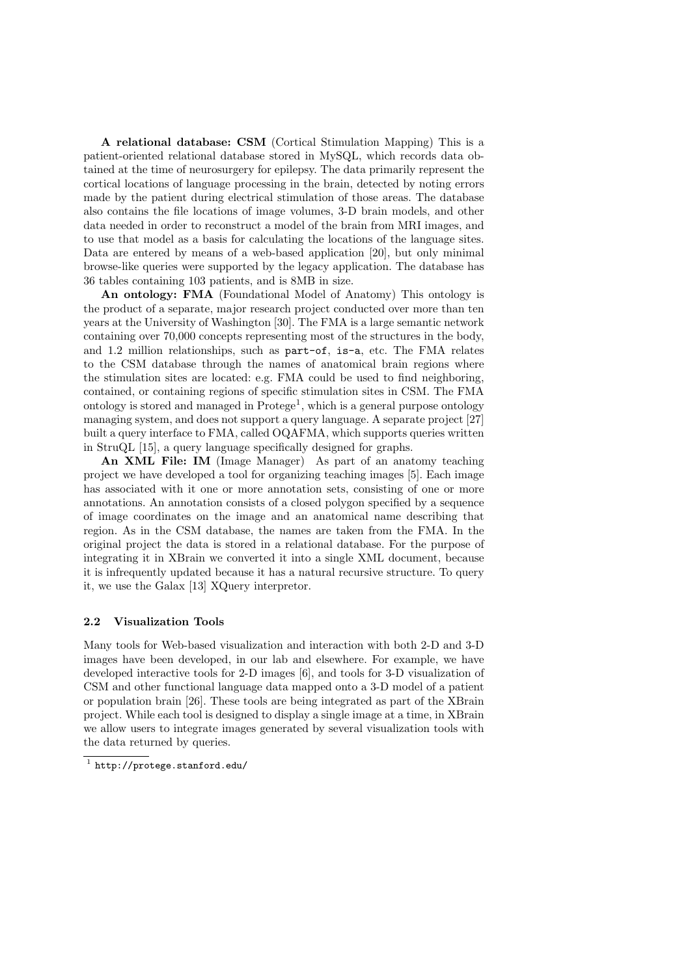A relational database: CSM (Cortical Stimulation Mapping) This is a patient-oriented relational database stored in MySQL, which records data obtained at the time of neurosurgery for epilepsy. The data primarily represent the cortical locations of language processing in the brain, detected by noting errors made by the patient during electrical stimulation of those areas. The database also contains the file locations of image volumes, 3-D brain models, and other data needed in order to reconstruct a model of the brain from MRI images, and to use that model as a basis for calculating the locations of the language sites. Data are entered by means of a web-based application [20], but only minimal browse-like queries were supported by the legacy application. The database has 36 tables containing 103 patients, and is 8MB in size.

An ontology: FMA (Foundational Model of Anatomy) This ontology is the product of a separate, major research project conducted over more than ten years at the University of Washington [30]. The FMA is a large semantic network containing over 70,000 concepts representing most of the structures in the body, and 1.2 million relationships, such as part-of, is-a, etc. The FMA relates to the CSM database through the names of anatomical brain regions where the stimulation sites are located: e.g. FMA could be used to find neighboring, contained, or containing regions of specific stimulation sites in CSM. The FMA ontology is stored and managed in Protege<sup>1</sup>, which is a general purpose ontology managing system, and does not support a query language. A separate project [27] built a query interface to FMA, called OQAFMA, which supports queries written in StruQL [15], a query language specifically designed for graphs.

An XML File: IM (Image Manager) As part of an anatomy teaching project we have developed a tool for organizing teaching images [5]. Each image has associated with it one or more annotation sets, consisting of one or more annotations. An annotation consists of a closed polygon specified by a sequence of image coordinates on the image and an anatomical name describing that region. As in the CSM database, the names are taken from the FMA. In the original project the data is stored in a relational database. For the purpose of integrating it in XBrain we converted it into a single XML document, because it is infrequently updated because it has a natural recursive structure. To query it, we use the Galax [13] XQuery interpretor.

### 2.2 Visualization Tools

Many tools for Web-based visualization and interaction with both 2-D and 3-D images have been developed, in our lab and elsewhere. For example, we have developed interactive tools for 2-D images [6], and tools for 3-D visualization of CSM and other functional language data mapped onto a 3-D model of a patient or population brain [26]. These tools are being integrated as part of the XBrain project. While each tool is designed to display a single image at a time, in XBrain we allow users to integrate images generated by several visualization tools with the data returned by queries.

 $^{\rm 1}$  http://protege.stanford.edu/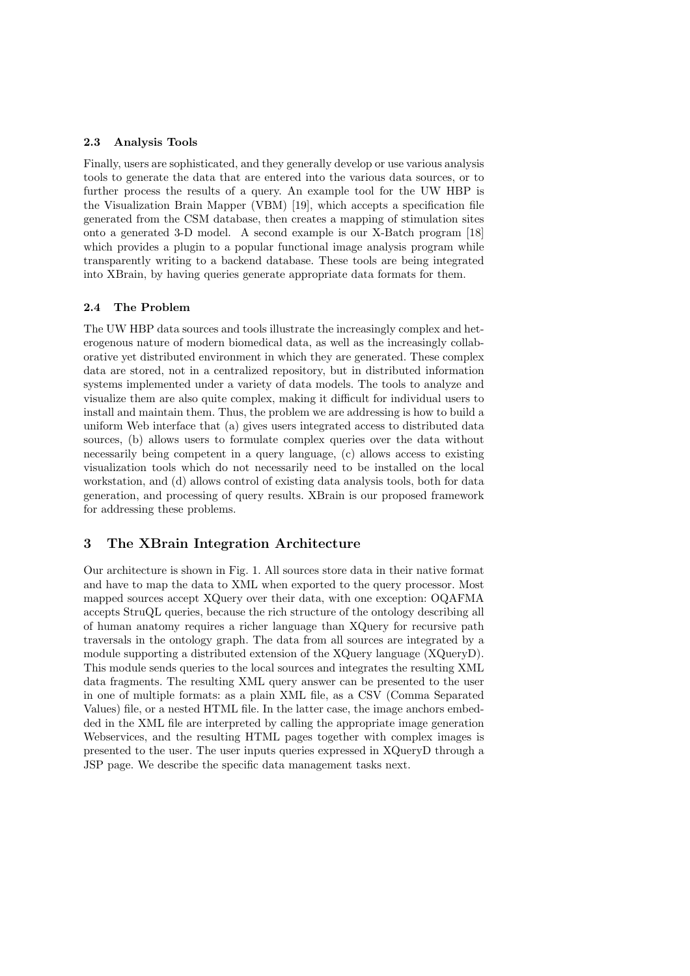### 2.3 Analysis Tools

Finally, users are sophisticated, and they generally develop or use various analysis tools to generate the data that are entered into the various data sources, or to further process the results of a query. An example tool for the UW HBP is the Visualization Brain Mapper (VBM) [19], which accepts a specification file generated from the CSM database, then creates a mapping of stimulation sites onto a generated 3-D model. A second example is our X-Batch program [18] which provides a plugin to a popular functional image analysis program while transparently writing to a backend database. These tools are being integrated into XBrain, by having queries generate appropriate data formats for them.

### 2.4 The Problem

The UW HBP data sources and tools illustrate the increasingly complex and heterogenous nature of modern biomedical data, as well as the increasingly collaborative yet distributed environment in which they are generated. These complex data are stored, not in a centralized repository, but in distributed information systems implemented under a variety of data models. The tools to analyze and visualize them are also quite complex, making it difficult for individual users to install and maintain them. Thus, the problem we are addressing is how to build a uniform Web interface that (a) gives users integrated access to distributed data sources, (b) allows users to formulate complex queries over the data without necessarily being competent in a query language, (c) allows access to existing visualization tools which do not necessarily need to be installed on the local workstation, and (d) allows control of existing data analysis tools, both for data generation, and processing of query results. XBrain is our proposed framework for addressing these problems.

### 3 The XBrain Integration Architecture

Our architecture is shown in Fig. 1. All sources store data in their native format and have to map the data to XML when exported to the query processor. Most mapped sources accept XQuery over their data, with one exception: OQAFMA accepts StruQL queries, because the rich structure of the ontology describing all of human anatomy requires a richer language than XQuery for recursive path traversals in the ontology graph. The data from all sources are integrated by a module supporting a distributed extension of the XQuery language (XQueryD). This module sends queries to the local sources and integrates the resulting XML data fragments. The resulting XML query answer can be presented to the user in one of multiple formats: as a plain XML file, as a CSV (Comma Separated Values) file, or a nested HTML file. In the latter case, the image anchors embedded in the XML file are interpreted by calling the appropriate image generation Webservices, and the resulting HTML pages together with complex images is presented to the user. The user inputs queries expressed in XQueryD through a JSP page. We describe the specific data management tasks next.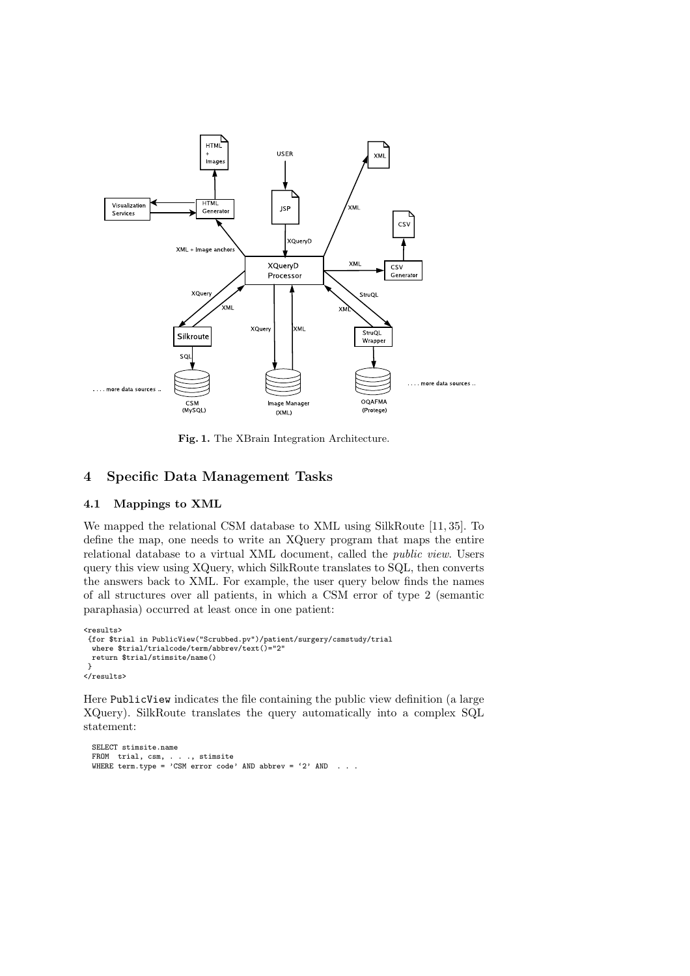

Fig. 1. The XBrain Integration Architecture.

# 4 Specific Data Management Tasks

### 4.1 Mappings to XML

We mapped the relational CSM database to XML using SilkRoute [11, 35]. To define the map, one needs to write an XQuery program that maps the entire relational database to a virtual XML document, called the public view. Users query this view using XQuery, which SilkRoute translates to SQL, then converts the answers back to XML. For example, the user query below finds the names of all structures over all patients, in which a CSM error of type 2 (semantic paraphasia) occurred at least once in one patient:

```
<results>
 {for $trial in PublicView("Scrubbed.pv")/patient/surgery/csmstudy/trial
 where $trial/trialcode/term/abbrev/text()="2"
 return $trial/stimsite/name()
}
\sqrt{\text{results}}
```
Here PublicView indicates the file containing the public view definition (a large XQuery). SilkRoute translates the query automatically into a complex SQL statement:

```
SELECT stimsite.name
FROM trial, csm, . . ., stimsite
WHERE term.type = 'CSM error code' AND abbrev = '2' AND . . .
```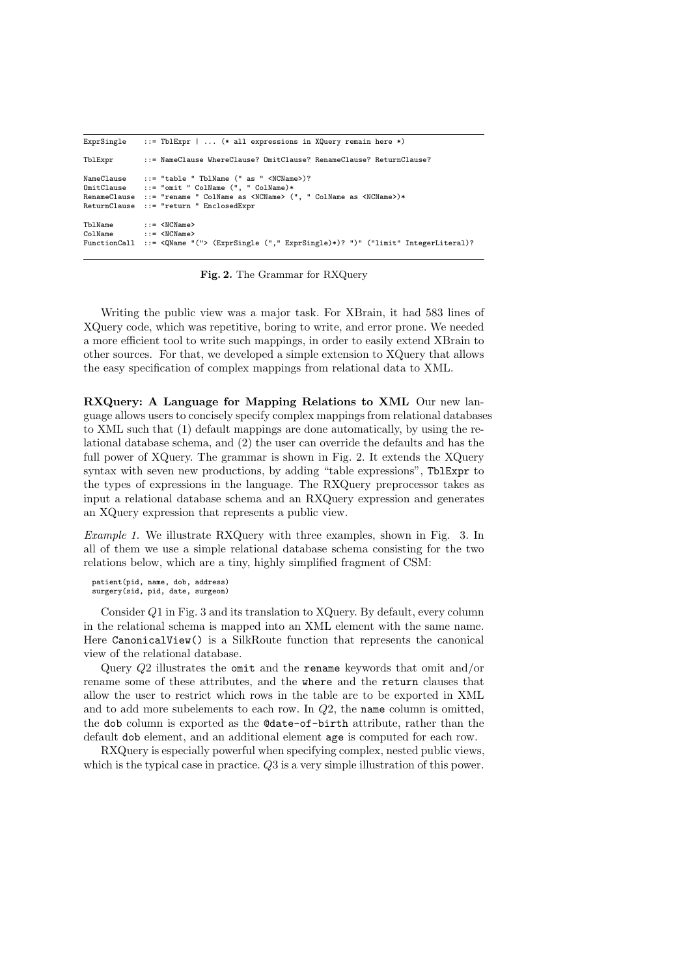```
ExprSingle ::= TblExpr | ... (* all expressions in XQuery remain here *)
TblExpr ::= NameClause WhereClause? OmitClause? RenameClause? ReturnClause?
NameClause ::= "table " TblName (" as " <NCName>)?
OmitClause ::= "omit " ColName (", " ColName)*
RenameClause ::= "rename " ColName as <NCName> (", " ColName as <NCName>)*
ReturnClause ::= "return " EnclosedExpr
TblName ::= <NCName><br>ColName ::= <NCName>
               : := <NCMameFunctionCall ::= <QName "("> (ExprSingle ("," ExprSingle)*)? ")" ("limit" IntegerLiteral)?
```
Fig. 2. The Grammar for RXQuery

Writing the public view was a major task. For XBrain, it had 583 lines of XQuery code, which was repetitive, boring to write, and error prone. We needed a more efficient tool to write such mappings, in order to easily extend XBrain to other sources. For that, we developed a simple extension to XQuery that allows the easy specification of complex mappings from relational data to XML.

RXQuery: A Language for Mapping Relations to XML Our new language allows users to concisely specify complex mappings from relational databases to XML such that (1) default mappings are done automatically, by using the relational database schema, and (2) the user can override the defaults and has the full power of XQuery. The grammar is shown in Fig. 2. It extends the XQuery syntax with seven new productions, by adding "table expressions", TblExpr to the types of expressions in the language. The RXQuery preprocessor takes as input a relational database schema and an RXQuery expression and generates an XQuery expression that represents a public view.

Example 1. We illustrate RXQuery with three examples, shown in Fig. 3. In all of them we use a simple relational database schema consisting for the two relations below, which are a tiny, highly simplified fragment of CSM:

```
patient(pid, name, dob, address)
surgery(sid, pid, date, surgeon)
```
Consider Q1 in Fig. 3 and its translation to XQuery. By default, every column in the relational schema is mapped into an XML element with the same name. Here CanonicalView() is a SilkRoute function that represents the canonical view of the relational database.

Query Q2 illustrates the omit and the rename keywords that omit and/or rename some of these attributes, and the where and the return clauses that allow the user to restrict which rows in the table are to be exported in XML and to add more subelements to each row. In  $Q2$ , the name column is omitted, the dob column is exported as the @date-of-birth attribute, rather than the default dob element, and an additional element age is computed for each row.

RXQuery is especially powerful when specifying complex, nested public views, which is the typical case in practice.  $Q3$  is a very simple illustration of this power.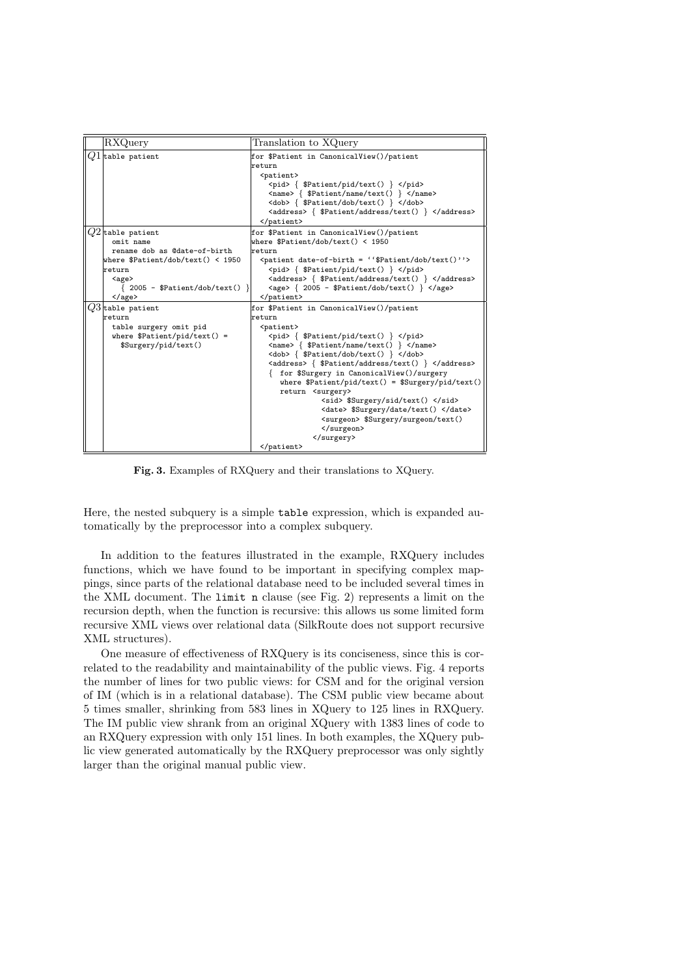| RXQuery                                                                                                                                                                                             | Translation to XQuery                                                                                                                                                                                                                                                                                                                                                                                                                                                                                                                                                                                                                         |
|-----------------------------------------------------------------------------------------------------------------------------------------------------------------------------------------------------|-----------------------------------------------------------------------------------------------------------------------------------------------------------------------------------------------------------------------------------------------------------------------------------------------------------------------------------------------------------------------------------------------------------------------------------------------------------------------------------------------------------------------------------------------------------------------------------------------------------------------------------------------|
| $Q1$ table patient                                                                                                                                                                                  | for \$Patient in CanonicalView()/patient<br>return<br><patient><br/><pid> { \$Patient/pid/text() } </pid><br/><name> { \$Patient/name/text() } </name><br/><dob> { \$Patient/dob/text() } </dob><br/><address> { \$Patient/address/text() } </address><br/></patient>                                                                                                                                                                                                                                                                                                                                                                         |
| $Q2\!$ table patient<br>omit name<br>rename dob as @date-of-birth<br>where $Pational/dob/text() < 1950$<br>return<br>$\langle age \rangle$<br>$\{$ 2005 - \$Patient/dob/text() }<br>$\langle$ /age> | for \$Patient in CanonicalView()/patient<br>where \$Patient/dob/text() < 1950<br>return<br><patient \$patient="" date-of-birth="" dob="" text()''=""><br/><math>\pi</math> <math>\{\</math> <math>\</math> Patient/pid/text() <math>\}</math> <br/><address> { \$Patient/address/text() } </address><br/><age> { <math>2005 - \$Pattern / dob / text()</math> } </age><br/></patient>                                                                                                                                                                                                                                                         |
| $Q3$ table patient<br>return<br>table surgery omit pid<br>where $\theta$ Patient/pid/text() =<br>\$Surgery/pid/text()                                                                               | for \$Patient in CanonicalView()/patient<br>return<br><patient><br/><pid> { \$Patient/pid/text() } </pid><br/><name> { \$Patient/name/text() } </name><br/><math>\langle</math>dob&gt; { <math>\langle</math>Patient/dob/text() } <math>\langle</math>/dob&gt;<br/><address> { \$Patient/address/text() } </address><br/>for \$Surgery in CanonicalView()/surgery<br/>where <math>\Phi</math>Patient/pid/text() = <math>\Phi</math>Surgery/pid/text()<br/>return <surgery><br/><sid> \$Surgery/sid/text() </sid><br/><date> \$Surgery/date/text() </date><br/><surgeon> \$Surgery/surgeon/text()<br/></surgeon><br/></surgery><br/></patient> |

Fig. 3. Examples of RXQuery and their translations to XQuery.

Here, the nested subquery is a simple table expression, which is expanded automatically by the preprocessor into a complex subquery.

In addition to the features illustrated in the example, RXQuery includes functions, which we have found to be important in specifying complex mappings, since parts of the relational database need to be included several times in the XML document. The limit n clause (see Fig. 2) represents a limit on the recursion depth, when the function is recursive: this allows us some limited form recursive XML views over relational data (SilkRoute does not support recursive XML structures).

One measure of effectiveness of RXQuery is its conciseness, since this is correlated to the readability and maintainability of the public views. Fig. 4 reports the number of lines for two public views: for CSM and for the original version of IM (which is in a relational database). The CSM public view became about 5 times smaller, shrinking from 583 lines in XQuery to 125 lines in RXQuery. The IM public view shrank from an original XQuery with 1383 lines of code to an RXQuery expression with only 151 lines. In both examples, the XQuery public view generated automatically by the RXQuery preprocessor was only sightly larger than the original manual public view.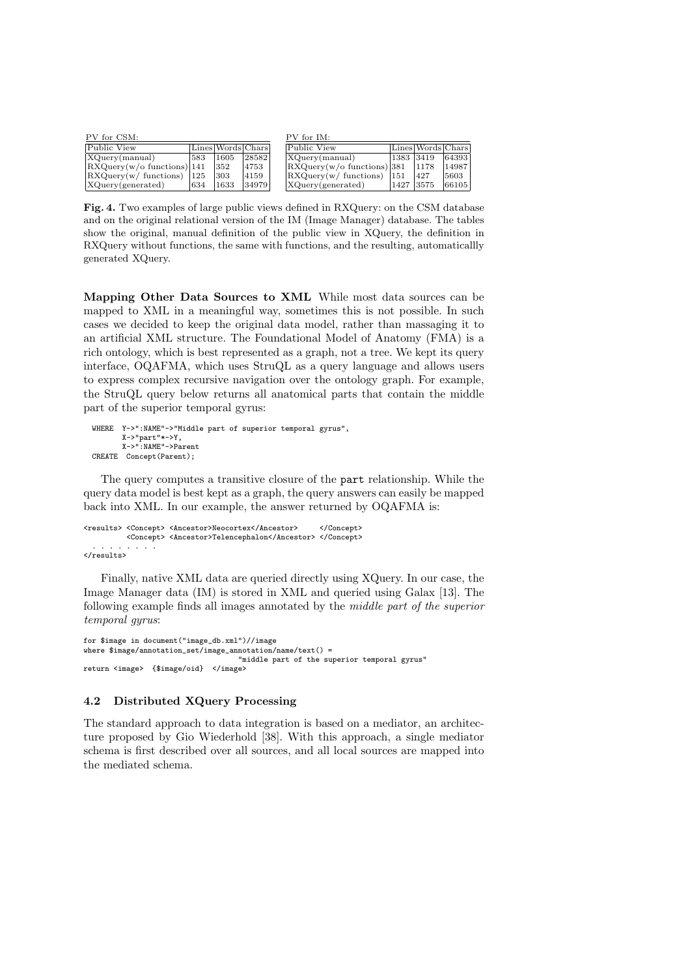| PV for CSM: |                                      |     |                   |       | PV for IM:                                        |           |                   |       |  |
|-------------|--------------------------------------|-----|-------------------|-------|---------------------------------------------------|-----------|-------------------|-------|--|
|             | Public View                          |     | Lines Words Chars |       | Public View                                       |           | Lines Words Chars |       |  |
|             | XQuery(manual)                       |     | 583 1605          | 28582 | XQuery(manual)                                    |           | 1383 3419         | 64393 |  |
|             | $\frac{RXQuery(w/o functions)}{141}$ |     | 352               | 4753  | $\vert$ RXQuery(w/o functions) $\vert$ 381   1178 |           |                   | 14987 |  |
|             | $\frac{RXQuery(w/$ functions) 125    |     | 303               | 4159  | $\text{RXQuery}(w / \text{ functions})$ 151       |           | <b>1427</b>       | 5603  |  |
|             | XQuery(generated)                    | 634 | 1633              | 34979 | XQuery(generated)                                 | 1427 3575 |                   | 66105 |  |

Fig. 4. Two examples of large public views defined in RXQuery: on the CSM database and on the original relational version of the IM (Image Manager) database. The tables show the original, manual definition of the public view in XQuery, the definition in RXQuery without functions, the same with functions, and the resulting, automaticallly generated XQuery.

Mapping Other Data Sources to XML While most data sources can be mapped to XML in a meaningful way, sometimes this is not possible. In such cases we decided to keep the original data model, rather than massaging it to an artificial XML structure. The Foundational Model of Anatomy (FMA) is a rich ontology, which is best represented as a graph, not a tree. We kept its query interface, OQAFMA, which uses StruQL as a query language and allows users to express complex recursive navigation over the ontology graph. For example, the StruQL query below returns all anatomical parts that contain the middle part of the superior temporal gyrus:

```
WHERE Y->":NAME"->"Middle part of superior temporal gyrus",
        X->"part"*->Y,
X->":NAME"->Parent
CREATE Concept(Parent);
```
The query computes a transitive closure of the part relationship. While the query data model is best kept as a graph, the query answers can easily be mapped back into XML. In our example, the answer returned by OQAFMA is:

```
<results> <Concept> <Ancestor>Neocortex</Ancestor> </Concept>
         <Concept> <Ancestor>Telencephalon</Ancestor> </Concept>
  . . . . . . . .
```
#### </results>

Finally, native XML data are queried directly using XQuery. In our case, the Image Manager data (IM) is stored in XML and queried using Galax [13]. The following example finds all images annotated by the middle part of the superior temporal gyrus:

```
for $image in document("image_db.xml")//image
where $image/annotation_set/image_annotation/name/text() =
                                    "middle part of the superior temporal gyrus"
return <image> {$image/oid} </image>
```
#### 4.2 Distributed XQuery Processing

The standard approach to data integration is based on a mediator, an architecture proposed by Gio Wiederhold [38]. With this approach, a single mediator schema is first described over all sources, and all local sources are mapped into the mediated schema.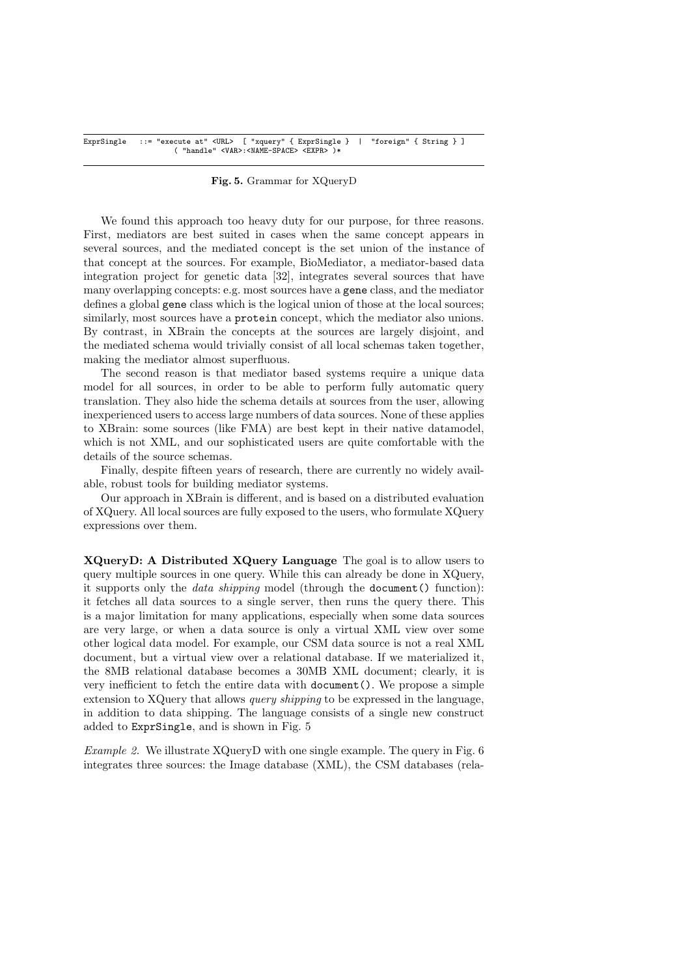ExprSingle ::= "execute at" <URL> [ "xquery" { ExprSingle } | "foreign" { String } ] ( "handle" <VAR>:<NAME-SPACE> <EXPR> )\*

#### Fig. 5. Grammar for XQueryD

We found this approach too heavy duty for our purpose, for three reasons. First, mediators are best suited in cases when the same concept appears in several sources, and the mediated concept is the set union of the instance of that concept at the sources. For example, BioMediator, a mediator-based data integration project for genetic data [32], integrates several sources that have many overlapping concepts: e.g. most sources have a gene class, and the mediator defines a global gene class which is the logical union of those at the local sources; similarly, most sources have a protein concept, which the mediator also unions. By contrast, in XBrain the concepts at the sources are largely disjoint, and the mediated schema would trivially consist of all local schemas taken together, making the mediator almost superfluous.

The second reason is that mediator based systems require a unique data model for all sources, in order to be able to perform fully automatic query translation. They also hide the schema details at sources from the user, allowing inexperienced users to access large numbers of data sources. None of these applies to XBrain: some sources (like FMA) are best kept in their native datamodel, which is not XML, and our sophisticated users are quite comfortable with the details of the source schemas.

Finally, despite fifteen years of research, there are currently no widely available, robust tools for building mediator systems.

Our approach in XBrain is different, and is based on a distributed evaluation of XQuery. All local sources are fully exposed to the users, who formulate XQuery expressions over them.

XQueryD: A Distributed XQuery Language The goal is to allow users to query multiple sources in one query. While this can already be done in XQuery, it supports only the data shipping model (through the document() function): it fetches all data sources to a single server, then runs the query there. This is a major limitation for many applications, especially when some data sources are very large, or when a data source is only a virtual XML view over some other logical data model. For example, our CSM data source is not a real XML document, but a virtual view over a relational database. If we materialized it, the 8MB relational database becomes a 30MB XML document; clearly, it is very inefficient to fetch the entire data with document(). We propose a simple extension to XQuery that allows query shipping to be expressed in the language, in addition to data shipping. The language consists of a single new construct added to ExprSingle, and is shown in Fig. 5

Example 2. We illustrate XQueryD with one single example. The query in Fig. 6 integrates three sources: the Image database (XML), the CSM databases (rela-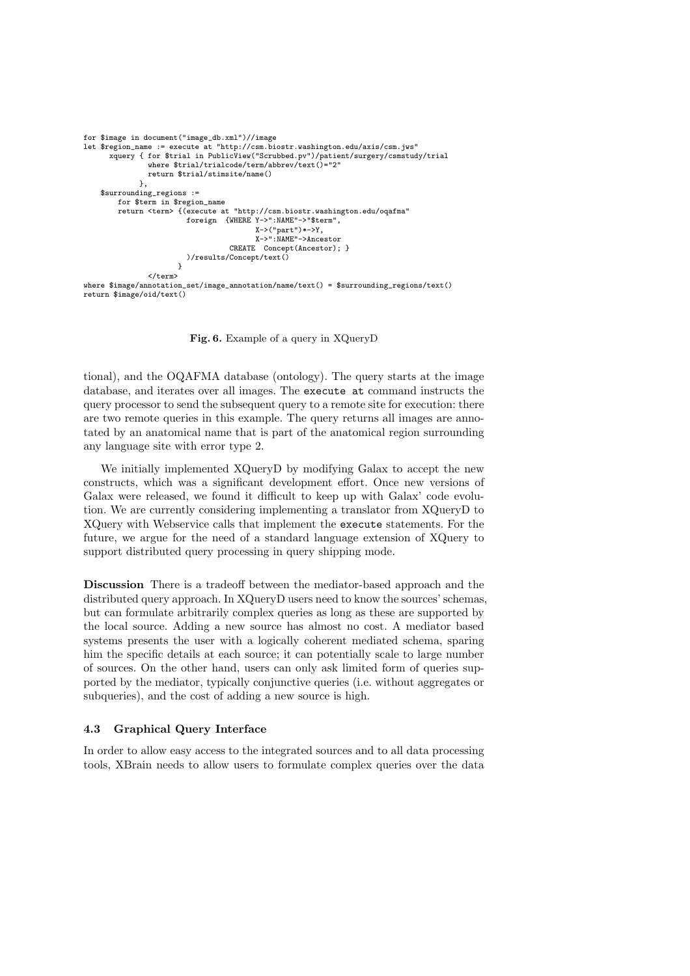```
for $image in document("image_db.xml")//image
let $region_name := execute at "http://csm.biostr.washington.edu/axis/csm.jws"
      xquery { for $trial in PublicView("Scrubbed.pv")/patient/surgery/csmstudy/trial
               where $trial/trialcode/term/abbrev/text()="2"
               return $trial/stimsite/name()
            },
    $surrounding_regions :=
        for $term in $region_name
        return <term> {(execute at "http://csm.biostr.washington.edu/oqafma"
                        foreign {WHERE Y->":NAME"->"$term",
                                        X->("part")*->Y,
                                        X->":NAME"->Ancestor
                                  CREATE Concept(Ancestor); }
                        )/results/Concept/text()
                      }
               </term>
where $image/annotation_set/image_annotation/name/text() = $surrounding_regions/text()
return $image/oid/text()
```
Fig. 6. Example of a query in XQueryD

tional), and the OQAFMA database (ontology). The query starts at the image database, and iterates over all images. The execute at command instructs the query processor to send the subsequent query to a remote site for execution: there are two remote queries in this example. The query returns all images are annotated by an anatomical name that is part of the anatomical region surrounding any language site with error type 2.

We initially implemented XQueryD by modifying Galax to accept the new constructs, which was a significant development effort. Once new versions of Galax were released, we found it difficult to keep up with Galax' code evolution. We are currently considering implementing a translator from XQueryD to XQuery with Webservice calls that implement the execute statements. For the future, we argue for the need of a standard language extension of XQuery to support distributed query processing in query shipping mode.

Discussion There is a tradeoff between the mediator-based approach and the distributed query approach. In XQueryD users need to know the sources' schemas, but can formulate arbitrarily complex queries as long as these are supported by the local source. Adding a new source has almost no cost. A mediator based systems presents the user with a logically coherent mediated schema, sparing him the specific details at each source; it can potentially scale to large number of sources. On the other hand, users can only ask limited form of queries supported by the mediator, typically conjunctive queries (i.e. without aggregates or subqueries), and the cost of adding a new source is high.

## 4.3 Graphical Query Interface

In order to allow easy access to the integrated sources and to all data processing tools, XBrain needs to allow users to formulate complex queries over the data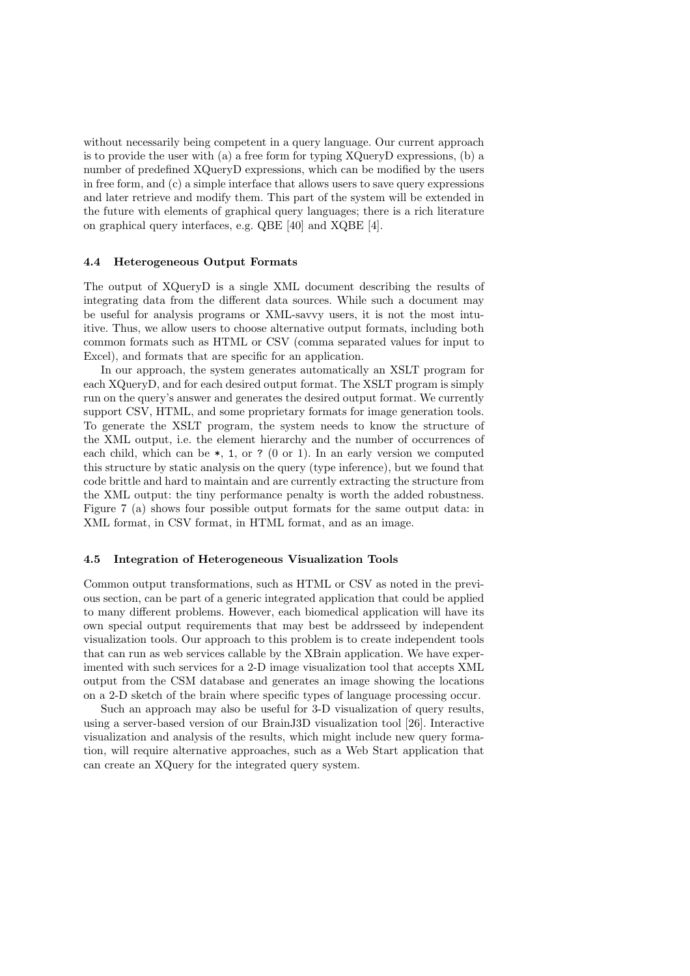without necessarily being competent in a query language. Our current approach is to provide the user with (a) a free form for typing XQueryD expressions, (b) a number of predefined XQueryD expressions, which can be modified by the users in free form, and (c) a simple interface that allows users to save query expressions and later retrieve and modify them. This part of the system will be extended in the future with elements of graphical query languages; there is a rich literature on graphical query interfaces, e.g. QBE [40] and XQBE [4].

#### 4.4 Heterogeneous Output Formats

The output of XQueryD is a single XML document describing the results of integrating data from the different data sources. While such a document may be useful for analysis programs or XML-savvy users, it is not the most intuitive. Thus, we allow users to choose alternative output formats, including both common formats such as HTML or CSV (comma separated values for input to Excel), and formats that are specific for an application.

In our approach, the system generates automatically an XSLT program for each XQueryD, and for each desired output format. The XSLT program is simply run on the query's answer and generates the desired output format. We currently support CSV, HTML, and some proprietary formats for image generation tools. To generate the XSLT program, the system needs to know the structure of the XML output, i.e. the element hierarchy and the number of occurrences of each child, which can be  $\ast$ , 1, or ? (0 or 1). In an early version we computed this structure by static analysis on the query (type inference), but we found that code brittle and hard to maintain and are currently extracting the structure from the XML output: the tiny performance penalty is worth the added robustness. Figure 7 (a) shows four possible output formats for the same output data: in XML format, in CSV format, in HTML format, and as an image.

#### 4.5 Integration of Heterogeneous Visualization Tools

Common output transformations, such as HTML or CSV as noted in the previous section, can be part of a generic integrated application that could be applied to many different problems. However, each biomedical application will have its own special output requirements that may best be addrsseed by independent visualization tools. Our approach to this problem is to create independent tools that can run as web services callable by the XBrain application. We have experimented with such services for a 2-D image visualization tool that accepts XML output from the CSM database and generates an image showing the locations on a 2-D sketch of the brain where specific types of language processing occur.

Such an approach may also be useful for 3-D visualization of query results, using a server-based version of our BrainJ3D visualization tool [26]. Interactive visualization and analysis of the results, which might include new query formation, will require alternative approaches, such as a Web Start application that can create an XQuery for the integrated query system.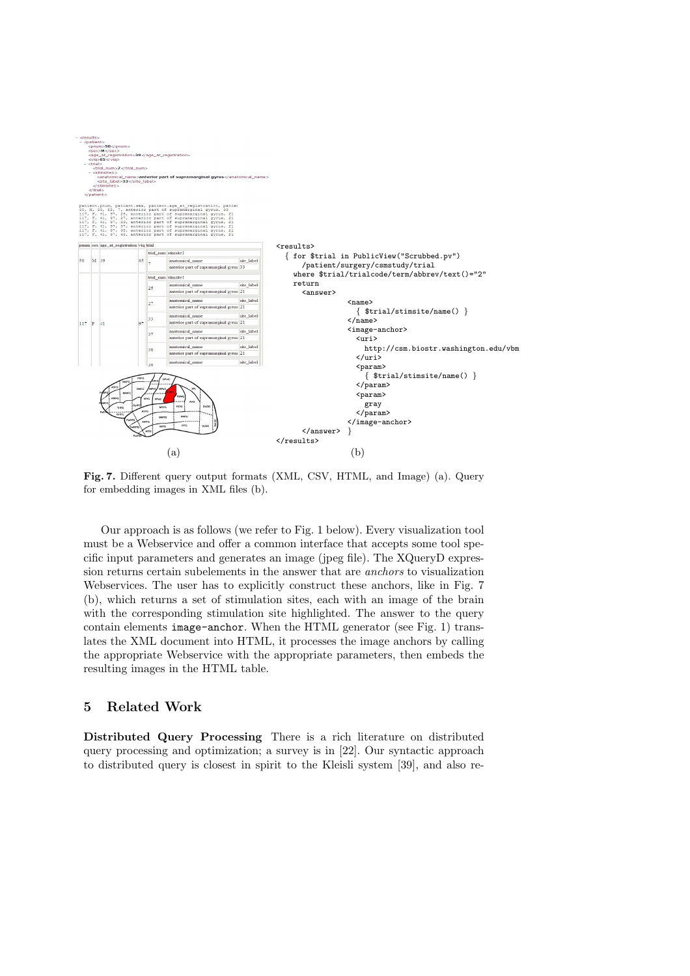

Fig. 7. Different query output formats (XML, CSV, HTML, and Image) (a). Query for embedding images in XML files (b).

Our approach is as follows (we refer to Fig. 1 below). Every visualization tool must be a Webservice and offer a common interface that accepts some tool specific input parameters and generates an image (jpeg file). The XQueryD expression returns certain subelements in the answer that are anchors to visualization Webservices. The user has to explicitly construct these anchors, like in Fig. 7 (b), which returns a set of stimulation sites, each with an image of the brain with the corresponding stimulation site highlighted. The answer to the query contain elements image-anchor. When the HTML generator (see Fig. 1) translates the XML document into HTML, it processes the image anchors by calling the appropriate Webservice with the appropriate parameters, then embeds the resulting images in the HTML table.

# 5 Related Work

Distributed Query Processing There is a rich literature on distributed query processing and optimization; a survey is in [22]. Our syntactic approach to distributed query is closest in spirit to the Kleisli system [39], and also re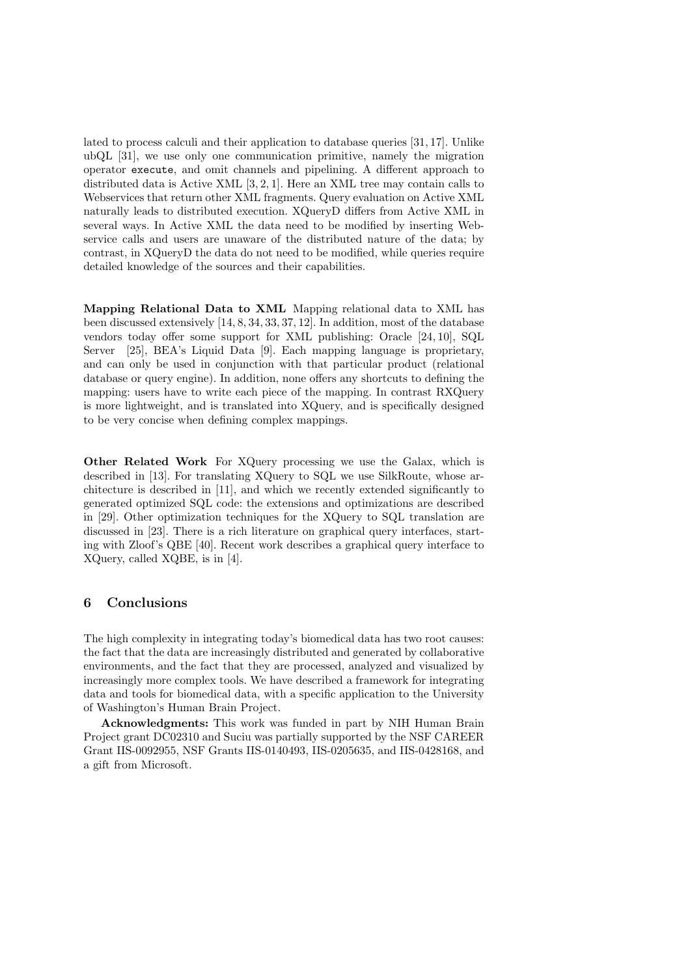lated to process calculi and their application to database queries [31, 17]. Unlike ubQL [31], we use only one communication primitive, namely the migration operator execute, and omit channels and pipelining. A different approach to distributed data is Active XML [3, 2, 1]. Here an XML tree may contain calls to Webservices that return other XML fragments. Query evaluation on Active XML naturally leads to distributed execution. XQueryD differs from Active XML in several ways. In Active XML the data need to be modified by inserting Webservice calls and users are unaware of the distributed nature of the data; by contrast, in XQueryD the data do not need to be modified, while queries require detailed knowledge of the sources and their capabilities.

Mapping Relational Data to XML Mapping relational data to XML has been discussed extensively [14, 8, 34, 33, 37, 12]. In addition, most of the database vendors today offer some support for XML publishing: Oracle [24, 10], SQL Server [25], BEA's Liquid Data [9]. Each mapping language is proprietary, and can only be used in conjunction with that particular product (relational database or query engine). In addition, none offers any shortcuts to defining the mapping: users have to write each piece of the mapping. In contrast RXQuery is more lightweight, and is translated into XQuery, and is specifically designed to be very concise when defining complex mappings.

Other Related Work For XQuery processing we use the Galax, which is described in [13]. For translating XQuery to SQL we use SilkRoute, whose architecture is described in [11], and which we recently extended significantly to generated optimized SQL code: the extensions and optimizations are described in [29]. Other optimization techniques for the XQuery to SQL translation are discussed in [23]. There is a rich literature on graphical query interfaces, starting with Zloof's QBE [40]. Recent work describes a graphical query interface to XQuery, called XQBE, is in [4].

# 6 Conclusions

The high complexity in integrating today's biomedical data has two root causes: the fact that the data are increasingly distributed and generated by collaborative environments, and the fact that they are processed, analyzed and visualized by increasingly more complex tools. We have described a framework for integrating data and tools for biomedical data, with a specific application to the University of Washington's Human Brain Project.

Acknowledgments: This work was funded in part by NIH Human Brain Project grant DC02310 and Suciu was partially supported by the NSF CAREER Grant IIS-0092955, NSF Grants IIS-0140493, IIS-0205635, and IIS-0428168, and a gift from Microsoft.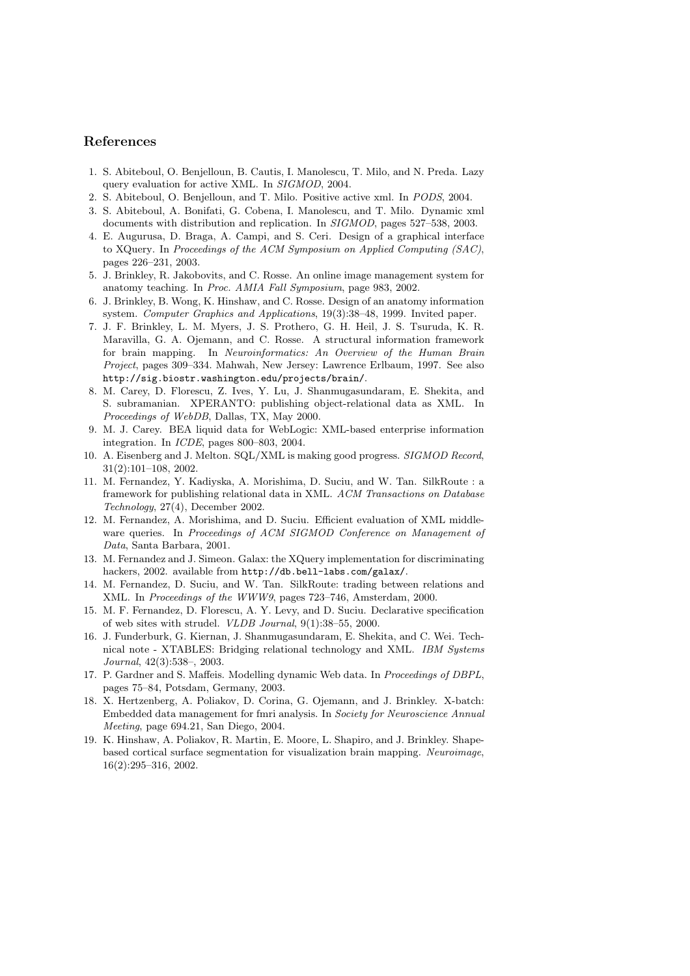## References

- 1. S. Abiteboul, O. Benjelloun, B. Cautis, I. Manolescu, T. Milo, and N. Preda. Lazy query evaluation for active XML. In SIGMOD, 2004.
- 2. S. Abiteboul, O. Benjelloun, and T. Milo. Positive active xml. In PODS, 2004.
- 3. S. Abiteboul, A. Bonifati, G. Cobena, I. Manolescu, and T. Milo. Dynamic xml documents with distribution and replication. In SIGMOD, pages 527–538, 2003.
- 4. E. Augurusa, D. Braga, A. Campi, and S. Ceri. Design of a graphical interface to XQuery. In Proceedings of the ACM Symposium on Applied Computing (SAC), pages 226–231, 2003.
- 5. J. Brinkley, R. Jakobovits, and C. Rosse. An online image management system for anatomy teaching. In Proc. AMIA Fall Symposium, page 983, 2002.
- 6. J. Brinkley, B. Wong, K. Hinshaw, and C. Rosse. Design of an anatomy information system. Computer Graphics and Applications, 19(3):38–48, 1999. Invited paper.
- 7. J. F. Brinkley, L. M. Myers, J. S. Prothero, G. H. Heil, J. S. Tsuruda, K. R. Maravilla, G. A. Ojemann, and C. Rosse. A structural information framework for brain mapping. In Neuroinformatics: An Overview of the Human Brain Project, pages 309–334. Mahwah, New Jersey: Lawrence Erlbaum, 1997. See also http://sig.biostr.washington.edu/projects/brain/.
- 8. M. Carey, D. Florescu, Z. Ives, Y. Lu, J. Shanmugasundaram, E. Shekita, and S. subramanian. XPERANTO: publishing object-relational data as XML. In Proceedings of WebDB, Dallas, TX, May 2000.
- 9. M. J. Carey. BEA liquid data for WebLogic: XML-based enterprise information integration. In ICDE, pages 800–803, 2004.
- 10. A. Eisenberg and J. Melton. SQL/XML is making good progress. SIGMOD Record, 31(2):101–108, 2002.
- 11. M. Fernandez, Y. Kadiyska, A. Morishima, D. Suciu, and W. Tan. SilkRoute : a framework for publishing relational data in XML. ACM Transactions on Database Technology, 27(4), December 2002.
- 12. M. Fernandez, A. Morishima, and D. Suciu. Efficient evaluation of XML middleware queries. In Proceedings of ACM SIGMOD Conference on Management of Data, Santa Barbara, 2001.
- 13. M. Fernandez and J. Simeon. Galax: the XQuery implementation for discriminating hackers, 2002. available from http://db.bell-labs.com/galax/.
- 14. M. Fernandez, D. Suciu, and W. Tan. SilkRoute: trading between relations and XML. In Proceedings of the WWW9, pages 723–746, Amsterdam, 2000.
- 15. M. F. Fernandez, D. Florescu, A. Y. Levy, and D. Suciu. Declarative specification of web sites with strudel. VLDB Journal, 9(1):38–55, 2000.
- 16. J. Funderburk, G. Kiernan, J. Shanmugasundaram, E. Shekita, and C. Wei. Technical note - XTABLES: Bridging relational technology and XML. IBM Systems Journal, 42(3):538–, 2003.
- 17. P. Gardner and S. Maffeis. Modelling dynamic Web data. In Proceedings of DBPL, pages 75–84, Potsdam, Germany, 2003.
- 18. X. Hertzenberg, A. Poliakov, D. Corina, G. Ojemann, and J. Brinkley. X-batch: Embedded data management for fmri analysis. In Society for Neuroscience Annual Meeting, page 694.21, San Diego, 2004.
- 19. K. Hinshaw, A. Poliakov, R. Martin, E. Moore, L. Shapiro, and J. Brinkley. Shapebased cortical surface segmentation for visualization brain mapping. Neuroimage, 16(2):295–316, 2002.